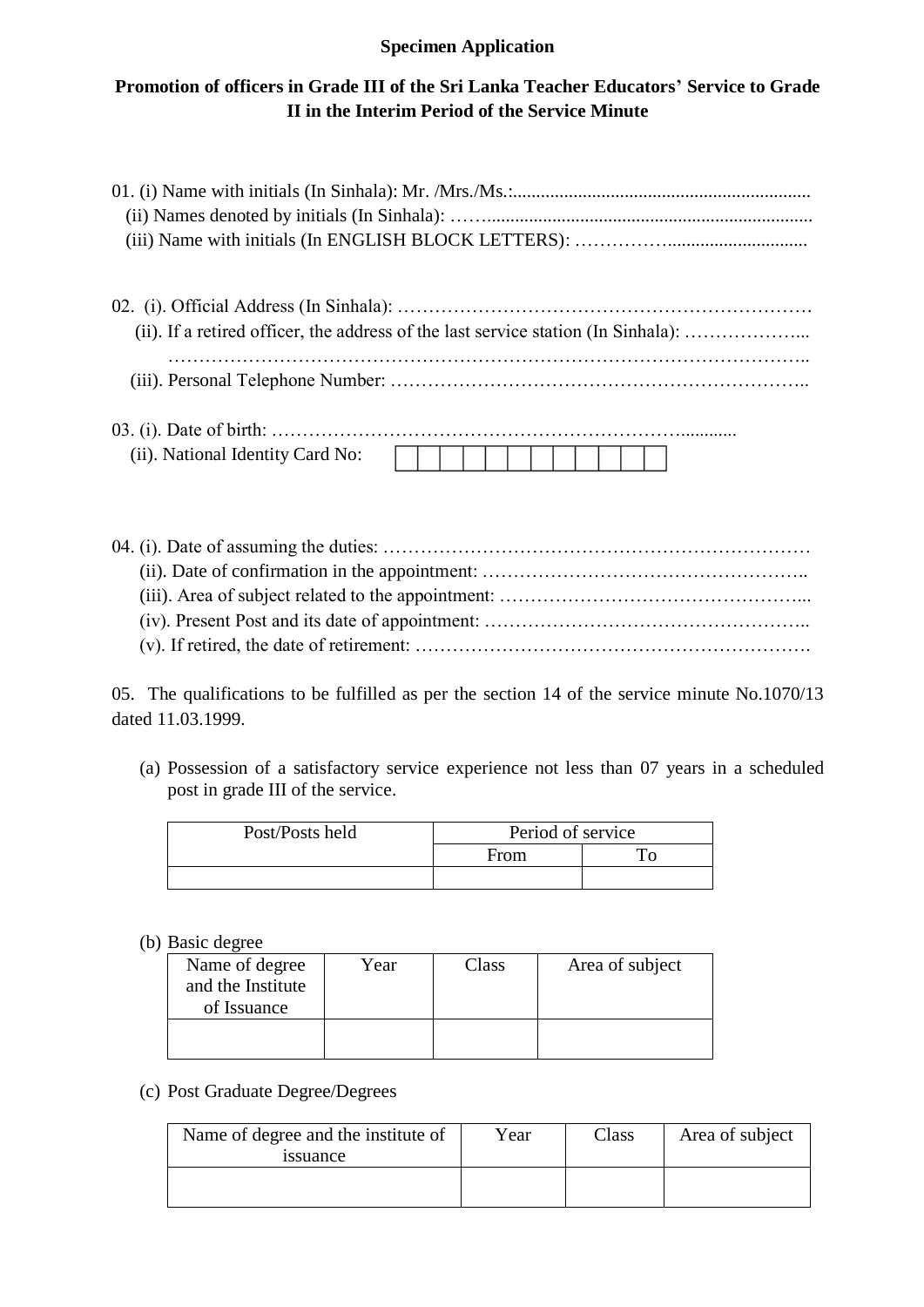## **Specimen Application**

# **Promotion of officers in Grade III of the Sri Lanka Teacher Educators' Service to Grade II in the Interim Period of the Service Minute**

| (ii). If a retired officer, the address of the last service station (In Sinhala): |
|-----------------------------------------------------------------------------------|
|                                                                                   |
| (ii). National Identity Card No:                                                  |
|                                                                                   |

|--|--|

05. The qualifications to be fulfilled as per the section 14 of the service minute No.1070/13 dated 11.03.1999.

(a) Possession of a satisfactory service experience not less than 07 years in a scheduled post in grade III of the service.

| Post/Posts held | Period of service |  |  |
|-----------------|-------------------|--|--|
|                 | From              |  |  |
|                 |                   |  |  |

(b) Basic degree

| Name of degree<br>and the Institute<br>of Issuance | Year | Class | Area of subject |
|----------------------------------------------------|------|-------|-----------------|
|                                                    |      |       |                 |

### (c) Post Graduate Degree/Degrees

| Name of degree and the institute of<br><i>s</i> suance | Year | Class | Area of subject |
|--------------------------------------------------------|------|-------|-----------------|
|                                                        |      |       |                 |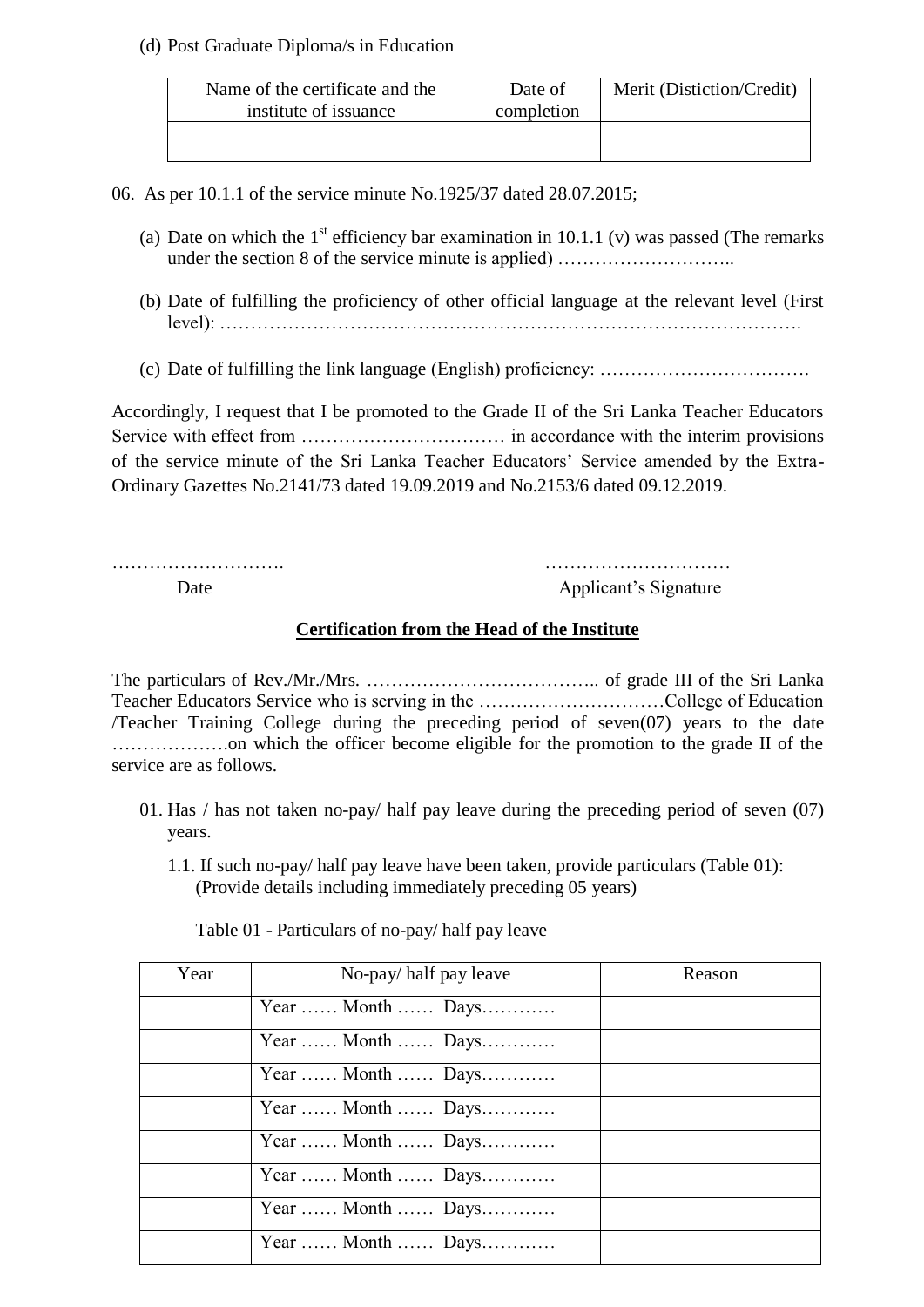#### (d) Post Graduate Diploma/s in Education

| Name of the certificate and the<br>institute of issuance | Date of<br>completion | Merit (Distiction/Credit) |
|----------------------------------------------------------|-----------------------|---------------------------|
|                                                          |                       |                           |

06. As per 10.1.1 of the service minute No.1925/37 dated 28.07.2015;

- (a) Date on which the  $1<sup>st</sup>$  efficiency bar examination in 10.1.1 (v) was passed (The remarks under the section 8 of the service minute is applied) ………………………..
- (b) Date of fulfilling the proficiency of other official language at the relevant level (First level): ………………………………………………………………………………….
- (c) Date of fulfilling the link language (English) proficiency: …………………………….

Accordingly, I request that I be promoted to the Grade II of the Sri Lanka Teacher Educators Service with effect from …………………………… in accordance with the interim provisions of the service minute of the Sri Lanka Teacher Educators' Service amended by the Extra-Ordinary Gazettes No.2141/73 dated 19.09.2019 and No.2153/6 dated 09.12.2019.

………………………. …………………………

Date Applicant's Signature

### **Certification from the Head of the Institute**

The particulars of Rev./Mr./Mrs. ……………………………….. of grade III of the Sri Lanka Teacher Educators Service who is serving in the …………………………College of Education /Teacher Training College during the preceding period of seven(07) years to the date ……………….on which the officer become eligible for the promotion to the grade II of the service are as follows.

- 01. Has / has not taken no-pay/ half pay leave during the preceding period of seven (07) years.
	- 1.1. If such no-pay/ half pay leave have been taken, provide particulars (Table 01): (Provide details including immediately preceding 05 years)

Table 01 - Particulars of no-pay/ half pay leave

| Year | No-pay/half pay leave | Reason |
|------|-----------------------|--------|
|      | Year  Month  Days     |        |
|      | Year  Month  Days     |        |
|      | Year  Month  Days     |        |
|      | Year  Month  Days     |        |
|      | Year  Month  Days     |        |
|      | Year  Month  Days     |        |
|      | Year  Month  Days     |        |
|      | Year  Month  Days     |        |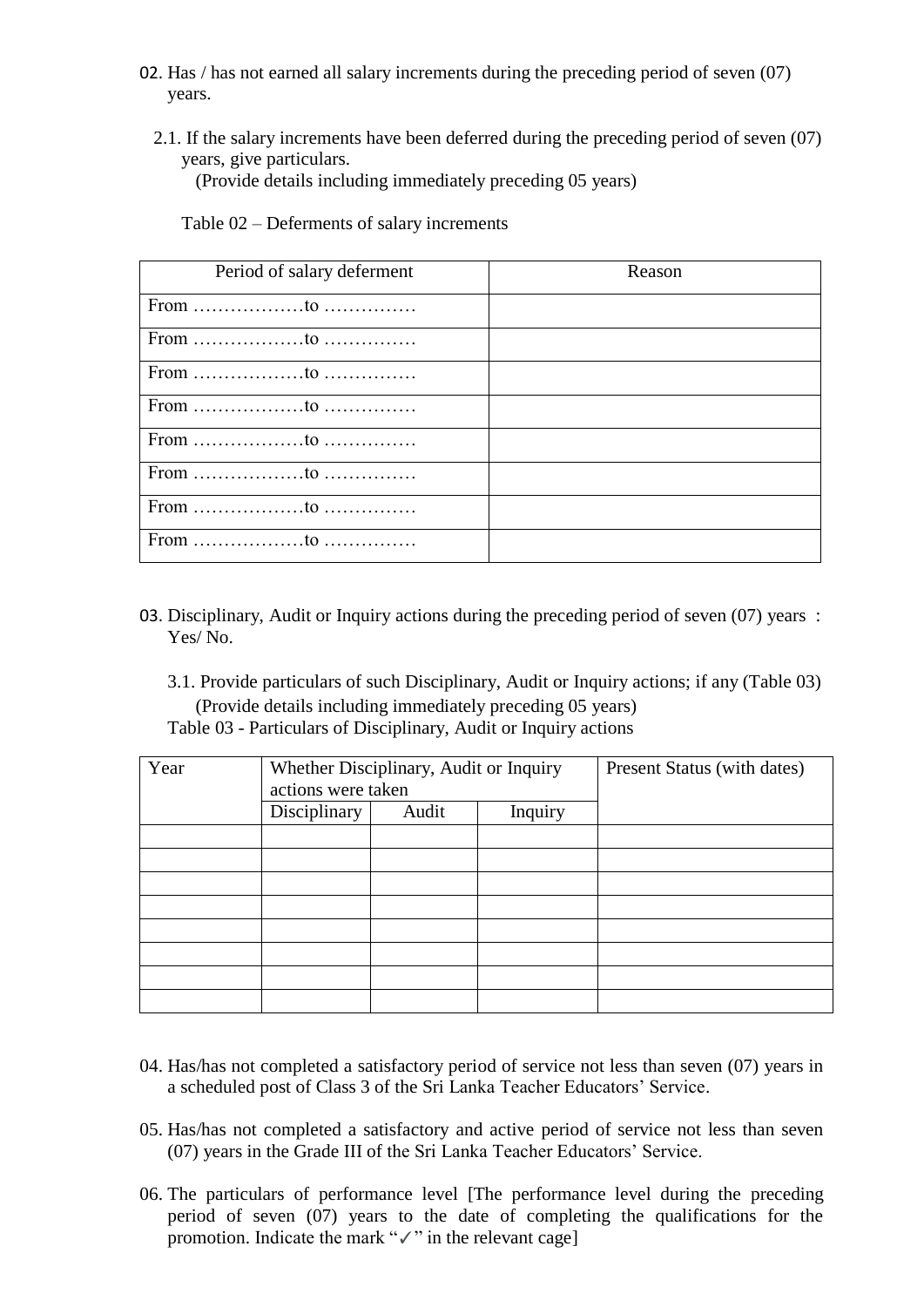- 02. Has / has not earned all salary increments during the preceding period of seven (07) years.
	- 2.1. If the salary increments have been deferred during the preceding period of seven (07) years, give particulars.

(Provide details including immediately preceding 05 years)

Period of salary deferment Reason From ………………to …………… From ………………to …………… From ………………to …………… From ………………to …………… From ………………to …………… From ………………to …………… From to From to to meet to the contract of the contract of the contract of the contract of the contract of the contract of the contract of the contract of the contract of the contract of the contract of the contract of the contrac

Table 02 – Deferments of salary increments

03. Disciplinary, Audit or Inquiry actions during the preceding period of seven (07) years : Yes/ No.

3.1. Provide particulars of such Disciplinary, Audit or Inquiry actions; if any (Table 03) (Provide details including immediately preceding 05 years) Table 03 - Particulars of Disciplinary, Audit or Inquiry actions

| Year | actions were taken | Whether Disciplinary, Audit or Inquiry |         | Present Status (with dates) |
|------|--------------------|----------------------------------------|---------|-----------------------------|
|      | Disciplinary       | Audit                                  | Inquiry |                             |
|      |                    |                                        |         |                             |
|      |                    |                                        |         |                             |
|      |                    |                                        |         |                             |
|      |                    |                                        |         |                             |
|      |                    |                                        |         |                             |
|      |                    |                                        |         |                             |
|      |                    |                                        |         |                             |
|      |                    |                                        |         |                             |

- 04. Has/has not completed a satisfactory period of service not less than seven (07) years in a scheduled post of Class 3 of the Sri Lanka Teacher Educators' Service.
- 05. Has/has not completed a satisfactory and active period of service not less than seven (07) years in the Grade III of the Sri Lanka Teacher Educators' Service.
- 06. The particulars of performance level [The performance level during the preceding period of seven (07) years to the date of completing the qualifications for the promotion. Indicate the mark "✓" in the relevant cage]